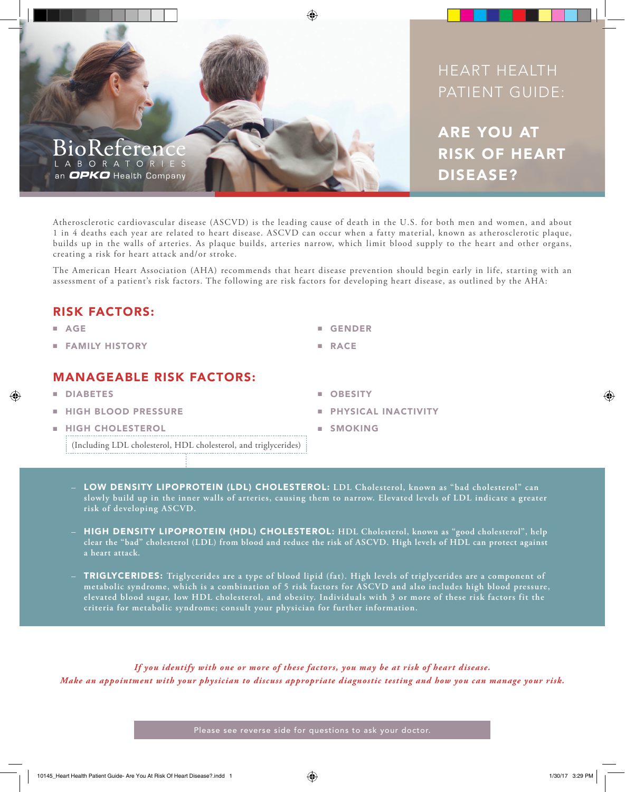

## HEART HEALTH PATIENT GUIDE:

ARE YOU AT RISK OF HEART DISEASE?

Atherosclerotic cardiovascular disease (ASCVD) is the leading cause of death in the U.S. for both men and women, and about 1 in 4 deaths each year are related to heart disease. ASCVD can occur when a fatty material, known as atherosclerotic plaque, builds up in the walls of arteries. As plaque builds, arteries narrow, which limit blood supply to the heart and other organs, creating a risk for heart attack and/or stroke.

The American Heart Association (AHA) recommends that heart disease prevention should begin early in life, starting with an assessment of a patient's risk factors. The following are risk factors for developing heart disease, as outlined by the AHA:

### RISK FACTORS:

- AGE
- FAMILY HISTORY

### MANAGEABLE RISK FACTORS:

- **DIABETES**
- **HIGH BLOOD PRESSURE**
- **HIGH CHOLESTEROL** (Including LDL cholesterol, HDL cholesterol, and triglycerides)
- GENDER
- RACE
- OBESITY
- PHYSICAL INACTIVITY
- SMOKING
- LOW DENSITY LIPOPROTEIN (LDL) CHOLESTEROL: **LDL Cholesterol, known as "bad cholesterol" can slowly build up in the inner walls of arteries, causing them to narrow. Elevated levels of LDL indicate a greater risk of developing ASCVD.**
- HIGH DENSITY LIPOPROTEIN (HDL) CHOLESTEROL: **HDL Cholesterol, known as "good cholesterol", help clear the "bad" cholesterol (LDL) from blood and reduce the risk of ASCVD. High levels of HDL can protect against a heart attack.**
- TRIGLYCERIDES: **Triglycerides are a type of blood lipid (fat). High levels of triglycerides are a component of metabolic syndrome, which is a combination of 5 risk factors for ASCVD and also includes high blood pressure, elevated blood sugar, low HDL cholesterol, and obesity. Individuals with 3 or more of these risk factors fit the criteria for metabolic syndrome; consult your physician for further information.**

*If you identify with one or more of these factors, you may be at risk of heart disease. Make an appointment with your physician to discuss appropriate diagnostic testing and how you can manage your risk.* 

Please see reverse side for questions to ask your doctor.